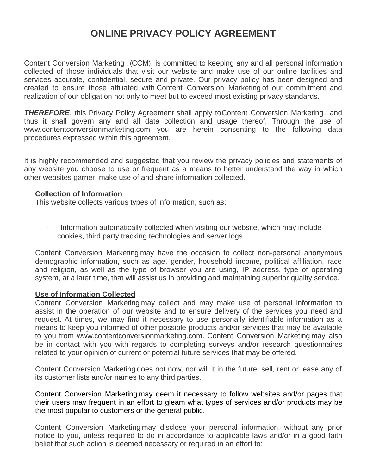# **ONLINE PRIVACY POLICY AGREEMENT**

Content Conversion Marketing , (CCM), is committed to keeping any and all personal information collected of those individuals that visit our website and make use of our online facilities and services accurate, confidential, secure and private. Our privacy policy has been designed and created to ensure those affiliated with Content Conversion Marketing of our commitment and realization of our obligation not only to meet but to exceed most existing privacy standards.

**THEREFORE**, this Privacy Policy Agreement shall apply to Content Conversion Marketing, and thus it shall govern any and all data collection and usage thereof. Through the use of www.contentconversionmarketing.com you are herein consenting to the following data procedures expressed within this agreement.

It is highly recommended and suggested that you review the privacy policies and statements of any website you choose to use or frequent as a means to better understand the way in which other websites garner, make use of and share information collected.

#### **Collection of Information**

This website collects various types of information, such as:

- Information automatically collected when visiting our website, which may include cookies, third party tracking technologies and server logs.

Content Conversion Marketing may have the occasion to collect non-personal anonymous demographic information, such as age, gender, household income, political affiliation, race and religion, as well as the type of browser you are using, IP address, type of operating system, at a later time, that will assist us in providing and maintaining superior quality service.

#### **Use of Information Collected**

Content Conversion Marketing may collect and may make use of personal information to assist in the operation of our website and to ensure delivery of the services you need and request. At times, we may find it necessary to use personally identifiable information as a means to keep you informed of other possible products and/or services that may be available to you from www.contentconversionmarketing.com. Content Conversion Marketing may also be in contact with you with regards to completing surveys and/or research questionnaires related to your opinion of current or potential future services that may be offered.

Content Conversion Marketing does not now, nor will it in the future, sell, rent or lease any of its customer lists and/or names to any third parties.

Content Conversion Marketing may deem it necessary to follow websites and/or pages that their users may frequent in an effort to gleam what types of services and/or products may be the most popular to customers or the general public.

Content Conversion Marketing may disclose your personal information, without any prior notice to you, unless required to do in accordance to applicable laws and/or in a good faith belief that such action is deemed necessary or required in an effort to: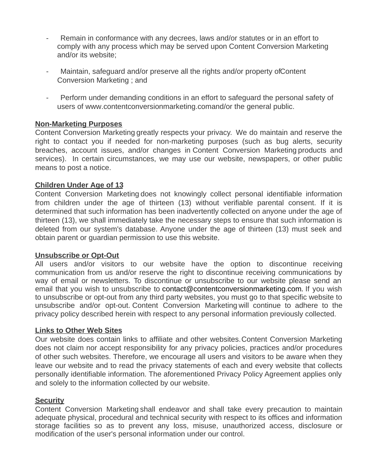- Remain in conformance with any decrees, laws and/or statutes or in an effort to comply with any process which may be served upon Content Conversion Marketing and/or its website;
- Maintain, safeguard and/or preserve all the rights and/or property ofContent Conversion Marketing ; and
- Perform under demanding conditions in an effort to safeguard the personal safety of users of www.contentconversionmarketing.comand/or the general public.

## **Non-Marketing Purposes**

Content Conversion Marketing greatly respects your privacy. We do maintain and reserve the right to contact you if needed for non-marketing purposes (such as bug alerts, security breaches, account issues, and/or changes in Content Conversion Marketing products and services). In certain circumstances, we may use our website, newspapers, or other public means to post a notice.

## **Children Under Age of 13**

Content Conversion Marketing does not knowingly collect personal identifiable information from children under the age of thirteen (13) without verifiable parental consent. If it is determined that such information has been inadvertently collected on anyone under the age of thirteen (13), we shall immediately take the necessary steps to ensure that such information is deleted from our system's database. Anyone under the age of thirteen (13) must seek and obtain parent or guardian permission to use this website.

#### **Unsubscribe or Opt-Out**

All users and/or visitors to our website have the option to discontinue receiving communication from us and/or reserve the right to discontinue receiving communications by way of email or newsletters. To discontinue or unsubscribe to our website please send an email that you wish to unsubscribe to contact@contentconversionmarketing.com. If you wish to unsubscribe or opt-out from any third party websites, you must go to that specific website to unsubscribe and/or opt-out. Content Conversion Marketing will continue to adhere to the privacy policy described herein with respect to any personal information previously collected.

#### **Links to Other Web Sites**

Our website does contain links to affiliate and other websites.Content Conversion Marketing does not claim nor accept responsibility for any privacy policies, practices and/or procedures of other such websites. Therefore, we encourage all users and visitors to be aware when they leave our website and to read the privacy statements of each and every website that collects personally identifiable information. The aforementioned Privacy Policy Agreement applies only and solely to the information collected by our website.

#### **Security**

Content Conversion Marketing shall endeavor and shall take every precaution to maintain adequate physical, procedural and technical security with respect to its offices and information storage facilities so as to prevent any loss, misuse, unauthorized access, disclosure or modification of the user's personal information under our control.